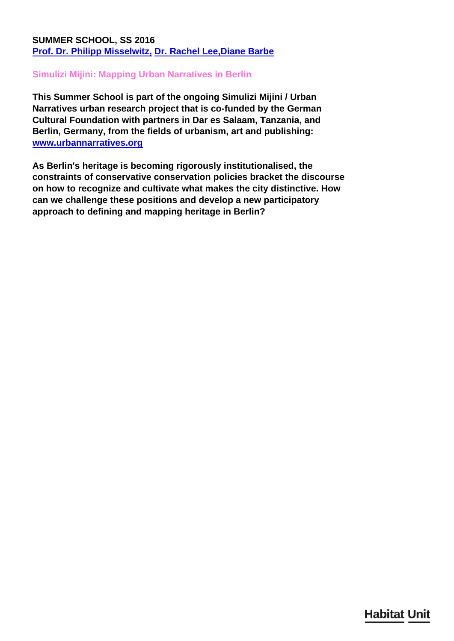## **SUMMER SCHOOL, SS 2016 [Prof. Dr. Philipp Misselwitz,](/en/team/philipp-misselwitz/) [Dr. Rachel Lee,](/en/team/rachel-lee/)[Diane Barbe](/en/team/diane-barbe/)**

### **Simulizi Mijini: Mapping Urban Narratives in Berlin**

**This Summer School is part of the ongoing Simulizi Mijini / Urban Narratives urban research project that is co-funded by the German Cultural Foundation with partners in Dar es Salaam, Tanzania, and Berlin, Germany, from the fields of urbanism, art and publishing: [www.urbannarratives.org](http://www.urbannarratives.org)**

**As Berlin's heritage is becoming rigorously institutionalised, the constraints of conservative conservation policies bracket the discourse on how to recognize and cultivate what makes the city distinctive. How can we challenge these positions and develop a new participatory approach to defining and mapping heritage in Berlin?**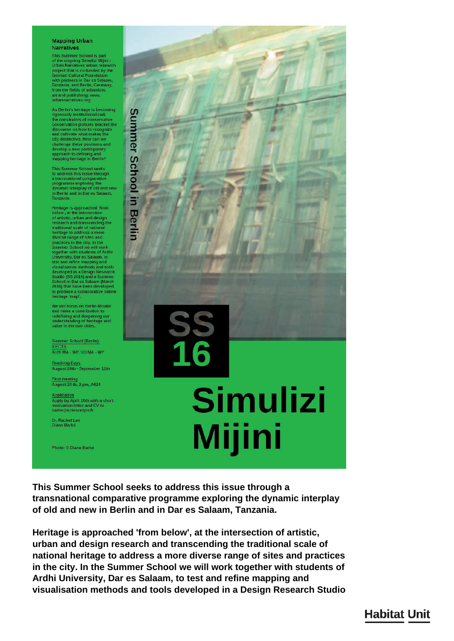#### **Mapping Urban Narratives**

This Summer School is part of the ongoing Simulizi Mijini /<br>Urban Narratives urban research project that is co-funded by the<br>German Cultural Foundation with partners in Dar es Salaam,<br>Tanzania, and Berlin, Germany,<br>from the fields of urbanism, art and publishing: www urbannarratives.org

As Berlin's heritage is becoming rigorously institutionalised,<br>the constraints of conservative<br>conservation policies bracket the discourse on how to recognize<br>and cultivate what makes the<br>city distinctive. How can we challenge these positions and<br>develop a new participatory<br>approach to defining and<br>mapping heritage in Berlin?

This Summer School seeks<br>to address this issue through<br>a transnational comparative programme exploring the<br>dynamic interplay of old and new in Berlin and in Dar es Salaam Tanzania

Heritage is approached 'from<br>below', at the intersection of artistic, urban and design<br>research and transcending the traditional scale of national<br>heritage to address a more<br>diverse range of sites and practices in the city. In the Summer School we will work<br>together with students of Ard<br>University, Dar es Salaam, to rdhi onversity, Dar es Salaam, to<br>test and refine mapping and<br>distallatation methods and tools<br>developed in a Design Research<br>School in Dar es Salaam (March<br>2016) that have been developed<br>2016) that have been developed<br>produce to produce a collaborative online<br>heritage 'map'.

We will focus on Berlin-Moabit and make a contribution to redefining and deepening our<br>understanding of heritage and value in the two cities.

Summer School (Berlin)<br>6 ECTS Arch MA - WP. UD MA - WP

Teaching Days<br>August 24th - September 12th

First meeting<br>August 24 th, 2 pm, A624

Application<br>Apply by April 15th with a short<br>motivation letter and CV to<br>barbe@sciencespo.fr

Dr. Rachel Lee<br>Diane Barbé

Photo: © Diane Barbé



This Summer School seeks to address this issue through a transnational comparative programme exploring the dynamic interplay of old and new in Berlin and in Dar es Salaam, Tanzania.

Heritage is approached 'from below', at the intersection of artistic, urban and design research and transcending the traditional scale of national heritage to address a more diverse range of sites and practices in the city. In the Summer School we will work together with students of Ardhi University, Dar es Salaam, to test and refine mapping and visualisation methods and tools developed in a Design Research Studio

# **Habitat Unit**